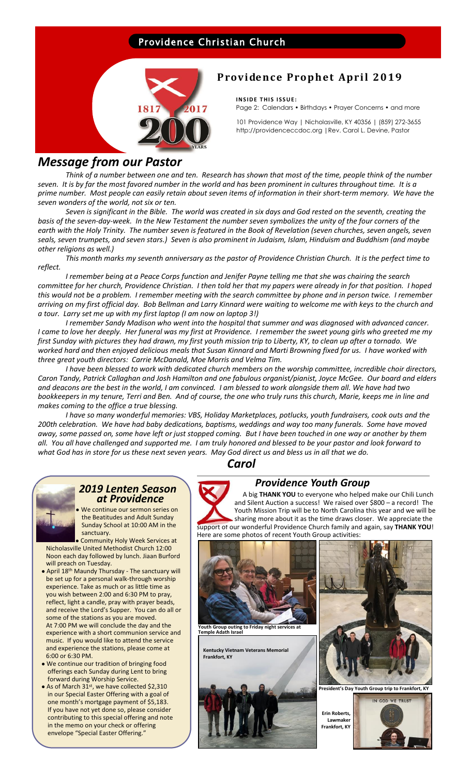### Providence Christian Church



# **Providence Prophet April 2019**

**INSIDE THIS ISSUE:** Page 2: Calendars • Birthdays • Prayer Concerns • and more

101 Providence Way | Nicholasville, KY 40356 | (859) 272-3655 http://providenceccdoc.org |Rev. Carol L. Devine, Pastor

# *Message from our Pastor*

*Think of a number between one and ten. Research has shown that most of the time, people think of the number seven. It is by far the most favored number in the world and has been prominent in cultures throughout time. It is a prime number. Most people can easily retain about seven items of information in their short-term memory. We have the seven wonders of the world, not six or ten.* 

*Seven is significant in the Bible. The world was created in six days and God rested on the seventh, creating the basis of the seven-day-week. In the New Testament the number seven symbolizes the unity of the four corners of the earth with the Holy Trinity. The number seven is featured in the Book of Revelation (seven churches, seven angels, seven seals, seven trumpets, and seven stars.) Seven is also prominent in Judaism, Islam, Hinduism and Buddhism (and maybe other religions as well.)*

*This month marks my seventh anniversary as the pastor of Providence Christian Church. It is the perfect time to reflect.*

*I remember being at a Peace Corps function and Jenifer Payne telling me that she was chairing the search committee for her church, Providence Christian. I then told her that my papers were already in for that position. I hoped this would not be a problem. I remember meeting with the search committee by phone and in person twice. I remember arriving on my first official day. Bob Bellman and Larry Kinnard were waiting to welcome me with keys to the church and a tour. Larry set me up with my first laptop (I am now on laptop 3!)*

*I remember Sandy Madison who went into the hospital that summer and was diagnosed with advanced cancer. I came to love her deeply. Her funeral was my first at Providence. I remember the sweet young girls who greeted me my first Sunday with pictures they had drawn, my first youth mission trip to Liberty, KY, to clean up after a tornado. We worked hard and then enjoyed delicious meals that Susan Kinnard and Marti Browning fixed for us. I have worked with three great youth directors: Carrie McDanald, Moe Morris and Velma Tim.* 

*I have been blessed to work with dedicated church members on the worship committee, incredible choir directors, Caron Tandy, Patrick Callaghan and Josh Hamilton and one fabulous organist/pianist, Joyce McGee. Our board and elders and deacons are the best in the world, I am convinced. I am blessed to work alongside them all. We have had two bookkeepers in my tenure, Terri and Ben. And of course, the one who truly runs this church, Marie, keeps me in line and makes coming to the office a true blessing.* 

*I have so many wonderful memories: VBS, Holiday Marketplaces, potlucks, youth fundraisers, cook outs and the 200th celebration. We have had baby dedications, baptisms, weddings and way too many funerals. Some have moved away, some passed on, some have left or just stopped coming. But I have been touched in one way or another by them all. You all have challenged and supported me. I am truly honored and blessed to be your pastor and look forward to what God has in store for us these next seven years. May God direct us and bless us in all that we do.* 

*Carol*



#### *2019 Lenten Season at Providence*

We continue our sermon series on the Beatitudes and Adult Sunday Sunday School at 10:00 AM in the sanctuary.

 ● Community Holy Week Services at Nicholasville United Methodist Church 12:00 Noon each day followed by lunch. Jiaan Burford will preach on Tuesday.

- April 18th Maundy Thursday The sanctuary will be set up for a personal walk-through worship experience. Take as much or as little time as you wish between 2:00 and 6:30 PM to pray, reflect, light a candle, pray with prayer beads, and receive the Lord's Supper. You can do all or some of the stations as you are moved. At 7:00 PM we will conclude the day and the experience with a short communion service and music. If you would like to attend the service and experience the stations, please come at 6:00 or 6:30 PM.
- We continue our tradition of bringing food offerings each Sunday during Lent to bring forward during Worship Service.
- As of March 31<sup>st</sup>, we have collected \$2,310 in our Special Easter Offering with a goal of one month's mortgage payment of \$5,183. If you have not yet done so, please consider contributing to this special offering and note in the memo on your check or offering envelope "Special Easter Offering."

# *Providence Youth Group*

 A big **THANK YOU** to everyone who helped make our Chili Lunch and Silent Auction a success! We raised over \$800 – a record! The Youth Mission Trip will be to North Carolina this year and we will be sharing more about it as the time draws closer. We appreciate the support of our wonderful Providence Church family and again, say **THANK YOU**! Here are some photos of recent Youth Group activities: